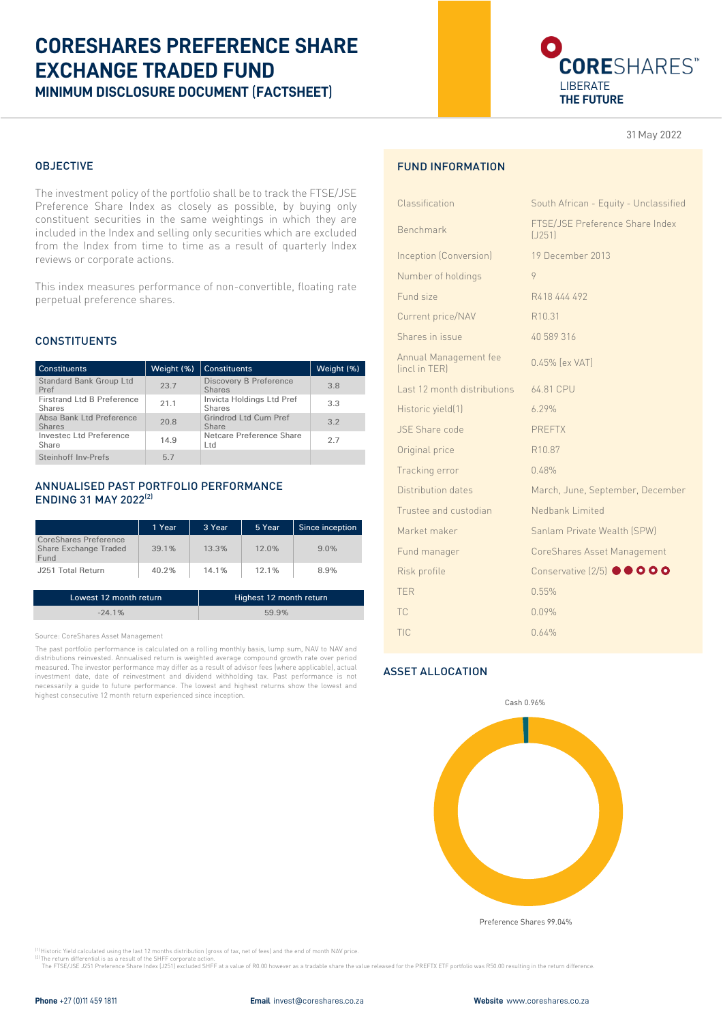# **CORESHARES PREFERENCE SHARE EXCHANGE TRADED FUND MINIMUM DISCLOSURE DOCUMENT** (**FACTSHEET**)



31 May 2022

## OBJECTIVE

The investment policy of the portfolio shall be to track the FTSE/JSE Preference Share Index as closely as possible, by buying only constituent securities in the same weightings in which they are included in the Index and selling only securities which are excluded from the Index from time to time as a result of quarterly Index reviews or corporate actions.

This index measures performance of non-convertible, floating rate perpetual preference shares.

### **CONSTITUENTS**

| <b>Constituents</b>                                | Weight (%) | <b>Constituents</b>                            | Weight (%) |
|----------------------------------------------------|------------|------------------------------------------------|------------|
| <b>Standard Bank Group Ltd</b><br>Pref             | 23.7       | <b>Discovery B Preference</b><br><b>Shares</b> | 3.8        |
| <b>Firstrand Ltd B Preference</b><br><b>Shares</b> | 21.1       | Invicta Holdings Ltd Pref<br><b>Shares</b>     | 3.3        |
| Absa Bank Ltd Preference<br><b>Shares</b>          | 20.8       | Grindrod Ltd Cum Pref<br>Share                 | 3.2        |
| Investec Ltd Preference<br>Share                   | 14.9       | Netcare Preference Share<br>Ltd.               | 2.7        |
| Steinhoff Inv-Prefs                                | 5.7        |                                                |            |

## ANNUALISED PAST PORTFOLIO PERFORMANCE ENDING 31 MAY 2022(2)

|                                                               | 1 Year | 3 Year   | 5 Year | Since inception |
|---------------------------------------------------------------|--------|----------|--------|-----------------|
| <b>CoreShares Preference</b><br>Share Exchange Traded<br>Fund | 39.1%  | $13.3\%$ | 12.0%  | 9.0%            |
| J251 Total Return                                             | 40.2%  | 14.1%    | 12.1%  | 8.9%            |

| Lowest 12 month return | Highest 12 month return |
|------------------------|-------------------------|
| $-24.1%$               | 59.9%                   |

Source: CoreShares Asset Management

The past portfolio performance is calculated on a rolling monthly basis, lump sum, NAV to NAV and distributions reinvested. Annualised return is weighted average compound growth rate over period measured. The investor performance may differ as a result of advisor fees (where applicable), actual investment date, date of reinvestment and dividend withholding tax. Past performance is not necessarily a guide to future performance. The lowest and highest returns show the lowest and highest consecutive 12 month return experienced since inception.

## FUND INFORMATION

| FTSE/JSE Preference Share Index    |
|------------------------------------|
| (J251)                             |
| 19 December 2013                   |
| 9                                  |
| R418 444 492                       |
| R <sub>10.31</sub>                 |
| 40 589 316                         |
| 0.45% [ex VAT]                     |
| 64.81 CPU                          |
| 6.29%                              |
| <b>PREFTX</b>                      |
| R <sub>10.87</sub>                 |
| 0.48%                              |
| March, June, September, December   |
| Nedbank Limited                    |
| Sanlam Private Wealth (SPW)        |
| CoreShares Asset Management        |
| Conservative (2/5) <sup>OOOO</sup> |
| 0.55%                              |
| 0.09%                              |
| 0.64%                              |
|                                    |

## ASSET ALLOCATION



Preference Shares 99.04%

<sup>(1)</sup> Historic Yield calculated using the last 12 months distribution (gross of tax, net of fees) and the end of month NAV price.

<sup>(2)</sup> The return differential is as a result of the SHFF corporate action.<br>The FTSE/JSE J251 Preference Share Index (J251) excluded SHFF at a value of R0.00 however as a tradable share the value released for the PREFTX ETF